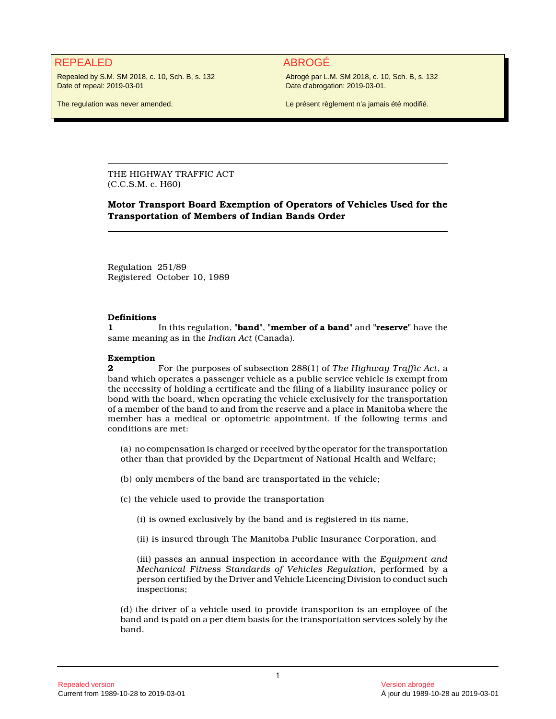## REPEALED ABROGÉ

Repealed by S.M. SM 2018, c. 10, Sch. B, s. 132 Date of repeal: 2019-03-01

The regulation was never amended.

Abrogé par L.M. SM 2018, c. 10, Sch. B, s. 132 Date d'abrogation: 2019-03-01.

Le présent règlement n'a jamais été modifié.

THE HIGHWAY TRAFFIC ACT (C.C.S.M. c. H60)

### **Motor Transport Board Exemption of Operators of Vehicles Used for the Transportation of Members of Indian Bands Order**

Regulation 251/89 Registered October 10, 1989

#### **Definitions**

**1** In this regulation, **"band"**, **"member of a band"** and **"reserve"** have the same meaning as in the *Indian Act* (Canada).

#### **Exemption**

**2 2 For the purposes of subsection 288(1) of** *The Highway Traffic Act***, a** band which operates a passenger vehicle as a public service vehicle is exempt from the necessity of holding a certificate and the filing of a liability insurance policy or bond with the board, when operating the vehicle exclusively for the transportation of a member of the band to and from the reserve and a place in Manitoba where the member has a medical or optometric appointment, if the following terms and conditions are met:

(a) no compensation is charged or received by the operator for the transportation other than that provided by the Department of National Health and Welfare;

(b) only members of the band are transportated in the vehicle;

(c) the vehicle used to provide the transportation

(i) is owned exclusively by the band and is registered in its name,

(ii) is insured through The Manitoba Public Insurance Corporation, and

(iii) passes an annual inspection in accordance with the *Equipment and Mechanical Fitness Standards of Vehicles Regulation*, performed by a person certified by the Driver and Vehicle Licencing Division to conduct such inspections;

(d) the driver of a vehicle used to provide transportion is an employee of the band and is paid on a per diem basis for the transportation services solely by the band.